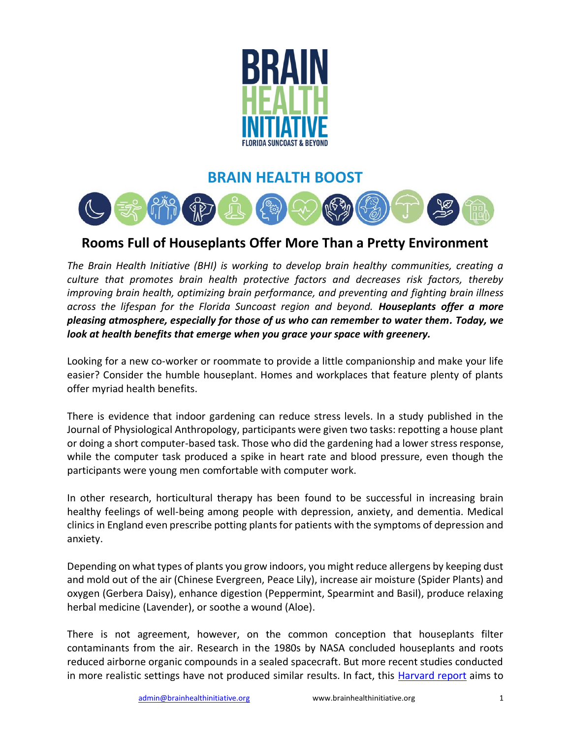

## **BRAIN HEALTH BOOST**



## **Rooms Full of Houseplants Offer More Than a Pretty Environment**

*The Brain Health Initiative (BHI) is working to develop brain healthy communities, creating a culture that promotes brain health protective factors and decreases risk factors, thereby improving brain health, optimizing brain performance, and preventing and fighting brain illness across the lifespan for the Florida Suncoast region and beyond. Houseplants offer a more pleasing atmosphere, especially for those of us who can remember to water them. Today, we look at health benefits that emerge when you grace your space with greenery.*

Looking for a new co-worker or roommate to provide a little companionship and make your life easier? Consider the humble houseplant. Homes and workplaces that feature plenty of plants offer myriad health benefits.

There is evidence that indoor gardening can reduce stress levels. In a study published in the Journal of Physiological Anthropology, participants were given two tasks: repotting a house plant or doing a short computer-based task. Those who did the gardening had a lower stress response, while the computer task produced a spike in heart rate and blood pressure, even though the participants were young men comfortable with computer work.

In other research, horticultural therapy has been found to be successful in increasing brain healthy feelings of well-being among people with depression, anxiety, and dementia. Medical clinics in England even prescribe potting plants for patients with the symptoms of depression and anxiety.

Depending on what types of plants you grow indoors, you might reduce allergens by keeping dust and mold out of the air (Chinese Evergreen, Peace Lily), increase air moisture (Spider Plants) and oxygen (Gerbera Daisy), enhance digestion (Peppermint, Spearmint and Basil), produce relaxing herbal medicine (Lavender), or soothe a wound (Aloe).

There is not agreement, however, on the common conception that houseplants filter contaminants from the air. Research in the 1980s by NASA concluded houseplants and roots reduced airborne organic compounds in a sealed spacecraft. But more recent studies conducted in more realistic settings have not produced similar results. In fact, this [Harvard report](https://sitn.hms.harvard.edu/flash/2019/house-plants-dont-really-clean-indoor-air/) aims to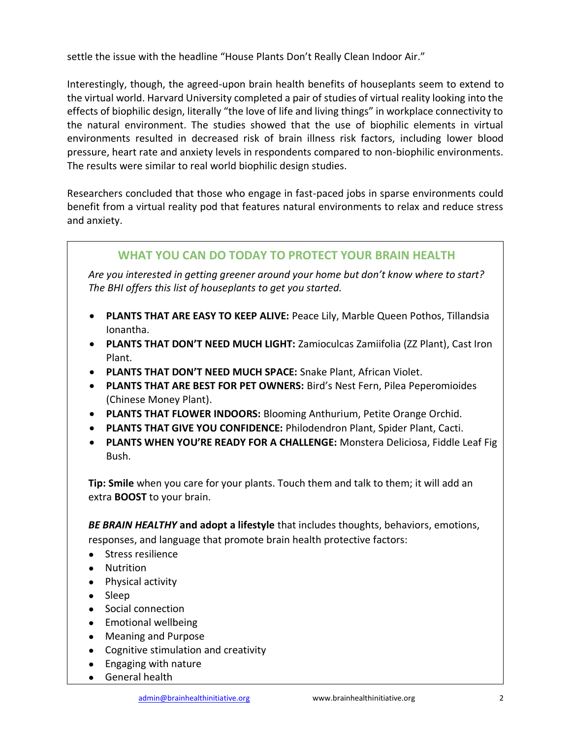settle the issue with the headline "House Plants Don't Really Clean Indoor Air."

Interestingly, though, the agreed-upon brain health benefits of houseplants seem to extend to the virtual world. Harvard University completed a pair of studies of virtual reality looking into the effects of biophilic design, literally "the love of life and living things" in workplace connectivity to the natural environment. The studies showed that the use of biophilic elements in virtual environments resulted in decreased risk of brain illness risk factors, including lower blood pressure, heart rate and anxiety levels in respondents compared to non-biophilic environments. The results were similar to real world biophilic design studies.

Researchers concluded that those who engage in fast-paced jobs in sparse environments could benefit from a virtual reality pod that features natural environments to relax and reduce stress and anxiety.

## **WHAT YOU CAN DO TODAY TO PROTECT YOUR BRAIN HEALTH**

*Are you interested in getting greener around your home but don't know where to start? The BHI offers this list of houseplants to get you started.*

- **PLANTS THAT ARE EASY TO KEEP ALIVE:** Peace Lily, Marble Queen Pothos, Tillandsia Ionantha.
- **PLANTS THAT DON'T NEED MUCH LIGHT:** Zamioculcas Zamiifolia (ZZ Plant), Cast Iron Plant.
- **PLANTS THAT DON'T NEED MUCH SPACE:** Snake Plant, African Violet.
- **PLANTS THAT ARE BEST FOR PET OWNERS:** Bird's Nest Fern, Pilea Peperomioides (Chinese Money Plant).
- **PLANTS THAT FLOWER INDOORS:** Blooming Anthurium, Petite Orange Orchid.
- **PLANTS THAT GIVE YOU CONFIDENCE:** Philodendron Plant, Spider Plant, Cacti.
- **PLANTS WHEN YOU'RE READY FOR A CHALLENGE:** Monstera Deliciosa, Fiddle Leaf Fig Bush.

**Tip: Smile** when you care for your plants. Touch them and talk to them; it will add an extra **BOOST** to your brain.

*BE BRAIN HEALTHY* **and adopt a lifestyle** that includes thoughts, behaviors, emotions, responses, and language that promote brain health protective factors:

- Stress resilience
- Nutrition
- Physical activity
- Sleep
- Social connection
- Emotional wellbeing
- Meaning and Purpose
- Cognitive stimulation and creativity
- Engaging with nature
- General health